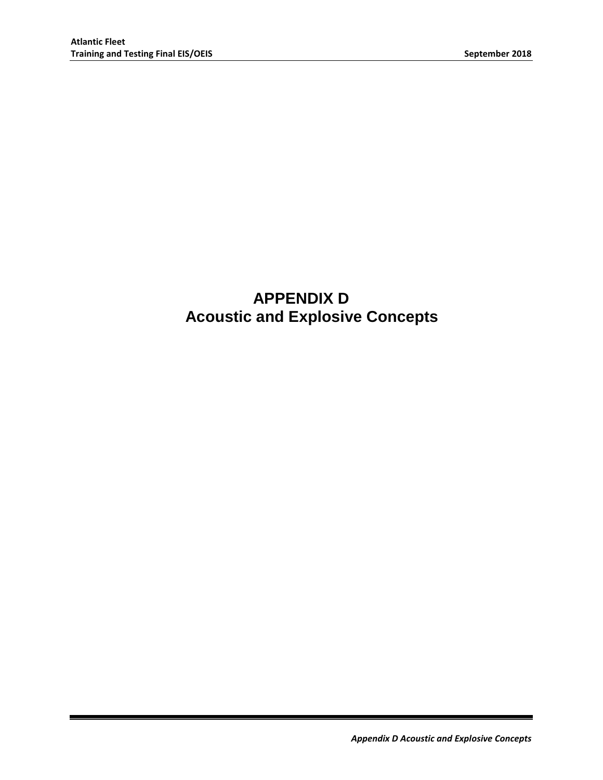# **APPENDIX D Acoustic and Explosive Concepts**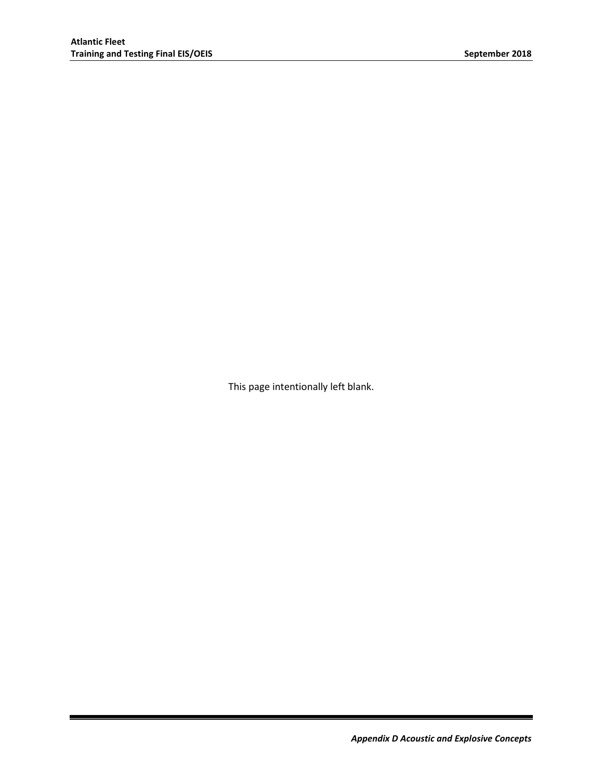This page intentionally left blank.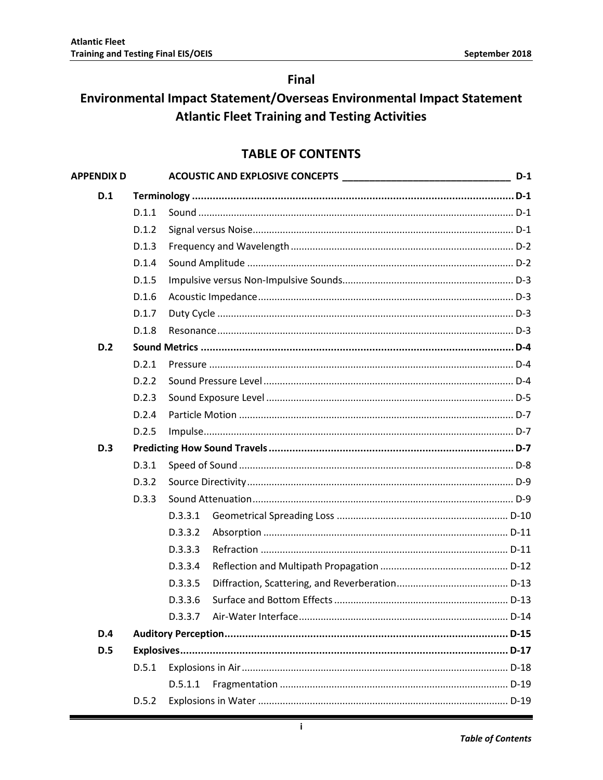### **Final**

# Environmental Impact Statement/Overseas Environmental Impact Statement **Atlantic Fleet Training and Testing Activities**

### **TABLE OF CONTENTS**

|       |         |  | $D-1$ |
|-------|---------|--|-------|
|       |         |  |       |
| D.1.1 |         |  |       |
| D.1.2 |         |  |       |
| D.1.3 |         |  |       |
| D.1.4 |         |  |       |
| D.1.5 |         |  |       |
| D.1.6 |         |  |       |
| D.1.7 |         |  |       |
| D.1.8 |         |  |       |
|       |         |  |       |
| D.2.1 |         |  |       |
| D.2.2 |         |  |       |
| D.2.3 |         |  |       |
| D.2.4 |         |  |       |
| D.2.5 |         |  |       |
|       |         |  |       |
| D.3.1 |         |  |       |
| D.3.2 |         |  |       |
| D.3.3 |         |  |       |
|       | D.3.3.1 |  |       |
|       | D.3.3.2 |  |       |
|       | D.3.3.3 |  |       |
|       | D.3.3.4 |  |       |
|       | D.3.3.5 |  |       |
|       | D.3.3.6 |  |       |
|       | D.3.3.7 |  |       |
|       |         |  |       |
|       |         |  |       |
| D.5.1 |         |  |       |
|       | D.5.1.1 |  |       |
| D.5.2 |         |  |       |
|       |         |  |       |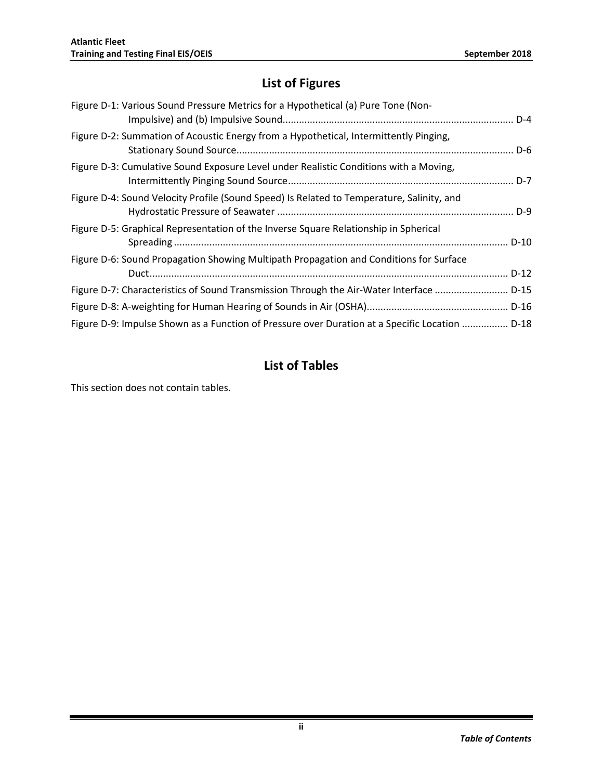# **List of Figures**

| Figure D-1: Various Sound Pressure Metrics for a Hypothetical (a) Pure Tone (Non-              |     |
|------------------------------------------------------------------------------------------------|-----|
| Figure D-2: Summation of Acoustic Energy from a Hypothetical, Intermittently Pinging,          | D-6 |
| Figure D-3: Cumulative Sound Exposure Level under Realistic Conditions with a Moving,          |     |
| Figure D-4: Sound Velocity Profile (Sound Speed) Is Related to Temperature, Salinity, and      |     |
| Figure D-5: Graphical Representation of the Inverse Square Relationship in Spherical           |     |
| Figure D-6: Sound Propagation Showing Multipath Propagation and Conditions for Surface         |     |
| Figure D-7: Characteristics of Sound Transmission Through the Air-Water Interface  D-15        |     |
|                                                                                                |     |
| Figure D-9: Impulse Shown as a Function of Pressure over Duration at a Specific Location  D-18 |     |

# **List of Tables**

This section does not contain tables.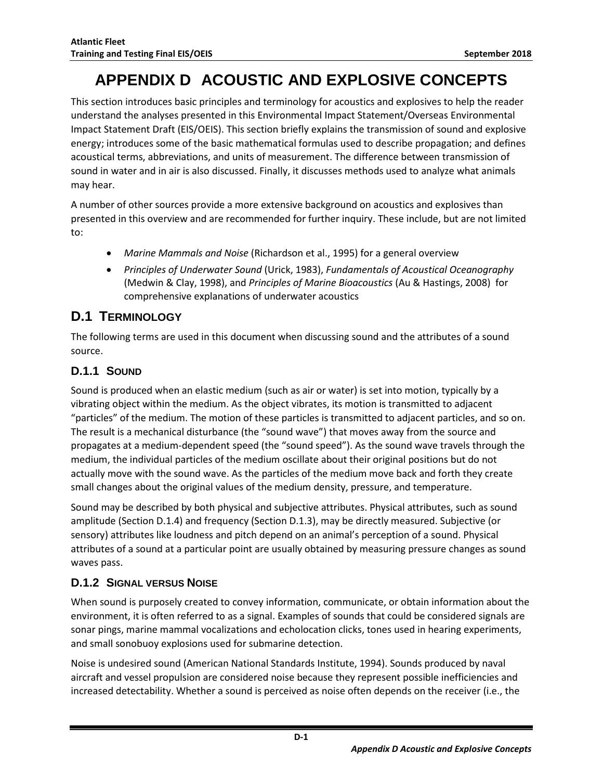# **APPENDIX D ACOUSTIC AND EXPLOSIVE CONCEPTS**

<span id="page-4-0"></span>This section introduces basic principles and terminology for acoustics and explosives to help the reader understand the analyses presented in this Environmental Impact Statement/Overseas Environmental Impact Statement Draft (EIS/OEIS). This section briefly explains the transmission of sound and explosive energy; introduces some of the basic mathematical formulas used to describe propagation; and defines acoustical terms, abbreviations, and units of measurement. The difference between transmission of sound in water and in air is also discussed. Finally, it discusses methods used to analyze what animals may hear.

A number of other sources provide a more extensive background on acoustics and explosives than presented in this overview and are recommended for further inquiry. These include, but are not limited to:

- *Marine Mammals and Noise* (Richardson et al., 1995) for a general overview
- *Principles of Underwater Sound* (Urick, 1983), *Fundamentals of Acoustical Oceanography* (Medwin & Clay, 1998), and *Principles of Marine Bioacoustics* (Au & Hastings, 2008) for comprehensive explanations of underwater acoustics

# <span id="page-4-1"></span>**D.1 TERMINOLOGY**

The following terms are used in this document when discussing sound and the attributes of a sound source.

### <span id="page-4-2"></span>**D.1.1 SOUND**

Sound is produced when an elastic medium (such as air or water) is set into motion, typically by a vibrating object within the medium. As the object vibrates, its motion is transmitted to adjacent "particles" of the medium. The motion of these particles is transmitted to adjacent particles, and so on. The result is a mechanical disturbance (the "sound wave") that moves away from the source and propagates at a medium-dependent speed (the "sound speed"). As the sound wave travels through the medium, the individual particles of the medium oscillate about their original positions but do not actually move with the sound wave. As the particles of the medium move back and forth they create small changes about the original values of the medium density, pressure, and temperature.

Sound may be described by both physical and subjective attributes. Physical attributes, such as sound amplitude (Section [D.1.4\)](#page-5-1) and frequency (Section [D.1.3\)](#page-5-0), may be directly measured. Subjective (or sensory) attributes like loudness and pitch depend on an animal's perception of a sound. Physical attributes of a sound at a particular point are usually obtained by measuring pressure changes as sound waves pass.

### <span id="page-4-3"></span>**D.1.2 SIGNAL VERSUS NOISE**

When sound is purposely created to convey information, communicate, or obtain information about the environment, it is often referred to as a signal. Examples of sounds that could be considered signals are sonar pings, marine mammal vocalizations and echolocation clicks, tones used in hearing experiments, and small sonobuoy explosions used for submarine detection.

Noise is undesired sound (American National Standards Institute, 1994). Sounds produced by naval aircraft and vessel propulsion are considered noise because they represent possible inefficiencies and increased detectability. Whether a sound is perceived as noise often depends on the receiver (i.e., the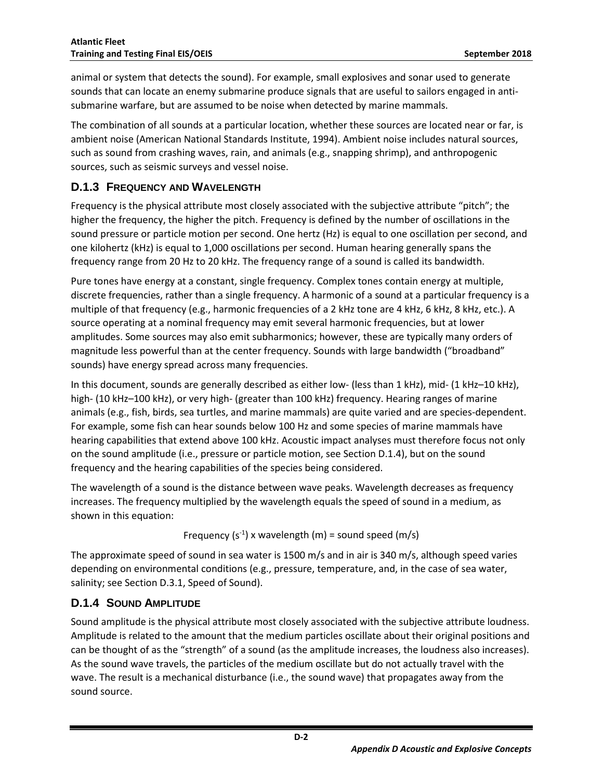animal or system that detects the sound). For example, small explosives and sonar used to generate sounds that can locate an enemy submarine produce signals that are useful to sailors engaged in antisubmarine warfare, but are assumed to be noise when detected by marine mammals.

The combination of all sounds at a particular location, whether these sources are located near or far, is ambient noise (American National Standards Institute, 1994). Ambient noise includes natural sources, such as sound from crashing waves, rain, and animals (e.g., snapping shrimp), and anthropogenic sources, such as seismic surveys and vessel noise.

### <span id="page-5-0"></span>**D.1.3 FREQUENCY AND WAVELENGTH**

Frequency is the physical attribute most closely associated with the subjective attribute "pitch"; the higher the frequency, the higher the pitch. Frequency is defined by the number of oscillations in the sound pressure or particle motion per second. One hertz (Hz) is equal to one oscillation per second, and one kilohertz (kHz) is equal to 1,000 oscillations per second. Human hearing generally spans the frequency range from 20 Hz to 20 kHz. The frequency range of a sound is called its bandwidth.

Pure tones have energy at a constant, single frequency. Complex tones contain energy at multiple, discrete frequencies, rather than a single frequency. A harmonic of a sound at a particular frequency is a multiple of that frequency (e.g., harmonic frequencies of a 2 kHz tone are 4 kHz, 6 kHz, 8 kHz, etc.). A source operating at a nominal frequency may emit several harmonic frequencies, but at lower amplitudes. Some sources may also emit subharmonics; however, these are typically many orders of magnitude less powerful than at the center frequency. Sounds with large bandwidth ("broadband" sounds) have energy spread across many frequencies.

In this document, sounds are generally described as either low- (less than 1 kHz), mid- (1 kHz–10 kHz), high- (10 kHz–100 kHz), or very high- (greater than 100 kHz) frequency. Hearing ranges of marine animals (e.g., fish, birds, sea turtles, and marine mammals) are quite varied and are species-dependent. For example, some fish can hear sounds below 100 Hz and some species of marine mammals have hearing capabilities that extend above 100 kHz. Acoustic impact analyses must therefore focus not only on the sound amplitude (i.e., pressure or particle motion, see Section [D.1.4\)](#page-5-1), but on the sound frequency and the hearing capabilities of the species being considered.

The wavelength of a sound is the distance between wave peaks. Wavelength decreases as frequency increases. The frequency multiplied by the wavelength equals the speed of sound in a medium, as shown in this equation:

Frequency  $(s^{-1})$  x wavelength (m) = sound speed (m/s)

The approximate speed of sound in sea water is 1500 m/s and in air is 340 m/s, although speed varies depending on environmental conditions (e.g., pressure, temperature, and, in the case of sea water, salinity; see Section [D.3.1,](#page-11-0) Speed of Sound).

#### <span id="page-5-1"></span>**D.1.4 SOUND AMPLITUDE**

Sound amplitude is the physical attribute most closely associated with the subjective attribute loudness. Amplitude is related to the amount that the medium particles oscillate about their original positions and can be thought of as the "strength" of a sound (as the amplitude increases, the loudness also increases). As the sound wave travels, the particles of the medium oscillate but do not actually travel with the wave. The result is a mechanical disturbance (i.e., the sound wave) that propagates away from the sound source.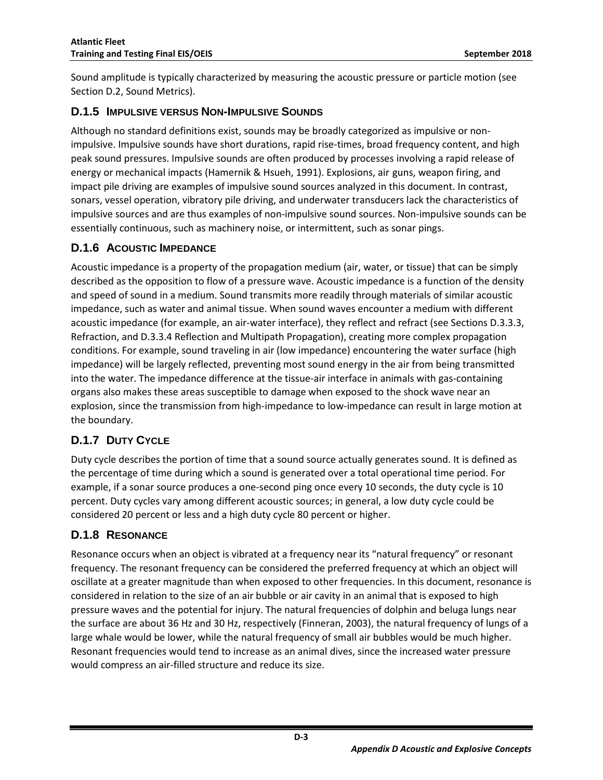Sound amplitude is typically characterized by measuring the acoustic pressure or particle motion (see Section D.2, Sound Metrics).

#### <span id="page-6-0"></span>**D.1.5 IMPULSIVE VERSUS NON-IMPULSIVE SOUNDS**

Although no standard definitions exist, sounds may be broadly categorized as impulsive or nonimpulsive. Impulsive sounds have short durations, rapid rise-times, broad frequency content, and high peak sound pressures. Impulsive sounds are often produced by processes involving a rapid release of energy or mechanical impacts (Hamernik & Hsueh, 1991). Explosions, air guns, weapon firing, and impact pile driving are examples of impulsive sound sources analyzed in this document. In contrast, sonars, vessel operation, vibratory pile driving, and underwater transducers lack the characteristics of impulsive sources and are thus examples of non-impulsive sound sources. Non-impulsive sounds can be essentially continuous, such as machinery noise, or intermittent, such as sonar pings.

### <span id="page-6-1"></span>**D.1.6 ACOUSTIC IMPEDANCE**

Acoustic impedance is a property of the propagation medium (air, water, or tissue) that can be simply described as the opposition to flow of a pressure wave. Acoustic impedance is a function of the density and speed of sound in a medium. Sound transmits more readily through materials of similar acoustic impedance, such as water and animal tissue. When sound waves encounter a medium with different acoustic impedance (for example, an air-water interface), they reflect and refract (see Section[s D.3.3.3,](#page-14-1) Refraction, and [D.3.3.4](#page-15-0) Reflection and Multipath Propagation), creating more complex propagation conditions. For example, sound traveling in air (low impedance) encountering the water surface (high impedance) will be largely reflected, preventing most sound energy in the air from being transmitted into the water. The impedance difference at the tissue-air interface in animals with gas-containing organs also makes these areas susceptible to damage when exposed to the shock wave near an explosion, since the transmission from high-impedance to low-impedance can result in large motion at the boundary.

### <span id="page-6-2"></span>**D.1.7 DUTY CYCLE**

Duty cycle describes the portion of time that a sound source actually generates sound. It is defined as the percentage of time during which a sound is generated over a total operational time period. For example, if a sonar source produces a one-second ping once every 10 seconds, the duty cycle is 10 percent. Duty cycles vary among different acoustic sources; in general, a low duty cycle could be considered 20 percent or less and a high duty cycle 80 percent or higher.

#### <span id="page-6-3"></span>**D.1.8 RESONANCE**

Resonance occurs when an object is vibrated at a frequency near its "natural frequency" or resonant frequency. The resonant frequency can be considered the preferred frequency at which an object will oscillate at a greater magnitude than when exposed to other frequencies. In this document, resonance is considered in relation to the size of an air bubble or air cavity in an animal that is exposed to high pressure waves and the potential for injury. The natural frequencies of dolphin and beluga lungs near the surface are about 36 Hz and 30 Hz, respectively (Finneran, 2003), the natural frequency of lungs of a large whale would be lower, while the natural frequency of small air bubbles would be much higher. Resonant frequencies would tend to increase as an animal dives, since the increased water pressure would compress an air-filled structure and reduce its size.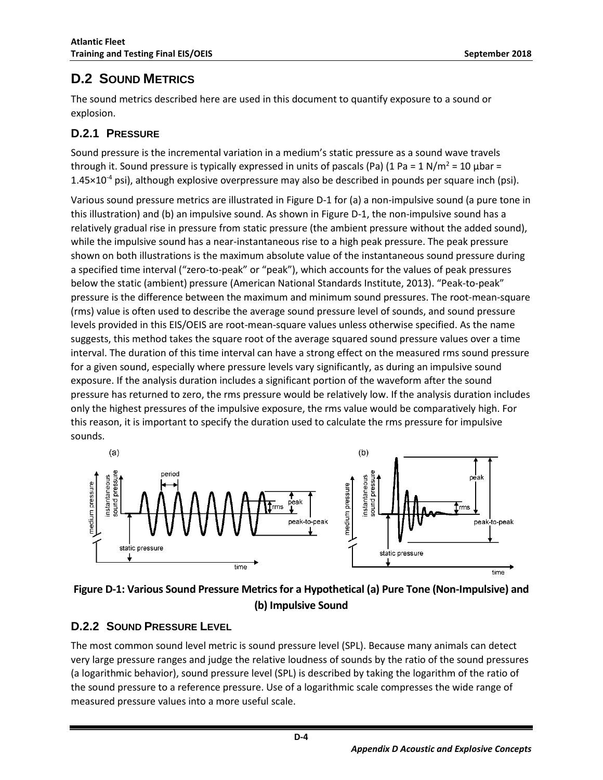## <span id="page-7-0"></span>**D.2 SOUND METRICS**

The sound metrics described here are used in this document to quantify exposure to a sound or explosion.

### <span id="page-7-1"></span>**D.2.1 PRESSURE**

Sound pressure is the incremental variation in a medium's static pressure as a sound wave travels through it. Sound pressure is typically expressed in units of pascals (Pa) (1 Pa = 1 N/m<sup>2</sup> = 10  $\mu$ bar =  $1.45\times10^{-4}$  psi), although explosive overpressure may also be described in pounds per square inch (psi).

Various sound pressure metrics are illustrated in Figure D-1 for (a) a non-impulsive sound (a pure tone in this illustration) and (b) an impulsive sound. As shown in Figure D-1, the non-impulsive sound has a relatively gradual rise in pressure from static pressure (the ambient pressure without the added sound), while the impulsive sound has a near-instantaneous rise to a high peak pressure. The peak pressure shown on both illustrations is the maximum absolute value of the instantaneous sound pressure during a specified time interval ("zero-to-peak" or "peak"), which accounts for the values of peak pressures below the static (ambient) pressure (American National Standards Institute, 2013). "Peak-to-peak" pressure is the difference between the maximum and minimum sound pressures. The root-mean-square (rms) value is often used to describe the average sound pressure level of sounds, and sound pressure levels provided in this EIS/OEIS are root-mean-square values unless otherwise specified. As the name suggests, this method takes the square root of the average squared sound pressure values over a time interval. The duration of this time interval can have a strong effect on the measured rms sound pressure for a given sound, especially where pressure levels vary significantly, as during an impulsive sound exposure. If the analysis duration includes a significant portion of the waveform after the sound pressure has returned to zero, the rms pressure would be relatively low. If the analysis duration includes only the highest pressures of the impulsive exposure, the rms value would be comparatively high. For this reason, it is important to specify the duration used to calculate the rms pressure for impulsive sounds.



<span id="page-7-3"></span>**Figure D-1: Various Sound Pressure Metrics for a Hypothetical (a) Pure Tone (Non-Impulsive) and (b) Impulsive Sound**

### <span id="page-7-2"></span>**D.2.2 SOUND PRESSURE LEVEL**

The most common sound level metric is sound pressure level (SPL). Because many animals can detect very large pressure ranges and judge the relative loudness of sounds by the ratio of the sound pressures (a logarithmic behavior), sound pressure level (SPL) is described by taking the logarithm of the ratio of the sound pressure to a reference pressure. Use of a logarithmic scale compresses the wide range of measured pressure values into a more useful scale.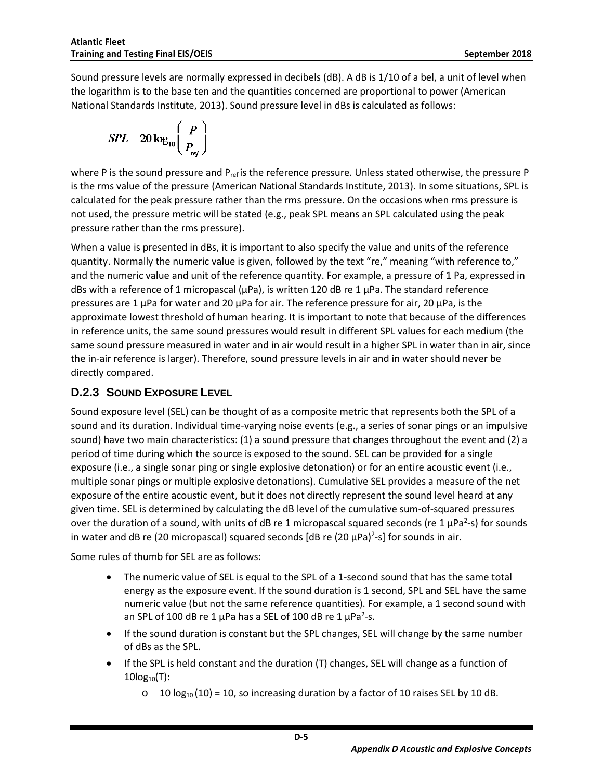Sound pressure levels are normally expressed in decibels (dB). A dB is 1/10 of a bel, a unit of level when the logarithm is to the base ten and the quantities concerned are proportional to power (American National Standards Institute, 2013). Sound pressure level in dBs is calculated as follows:

$$
SPL = 20 \log_{10} \left( \frac{P}{P_{ref}} \right)
$$

where P is the sound pressure and P<sub>ref</sub> is the reference pressure. Unless stated otherwise, the pressure P is the rms value of the pressure (American National Standards Institute, 2013). In some situations, SPL is calculated for the peak pressure rather than the rms pressure. On the occasions when rms pressure is not used, the pressure metric will be stated (e.g., peak SPL means an SPL calculated using the peak pressure rather than the rms pressure).

When a value is presented in dBs, it is important to also specify the value and units of the reference quantity. Normally the numeric value is given, followed by the text "re," meaning "with reference to," and the numeric value and unit of the reference quantity. For example, a pressure of 1 Pa, expressed in dBs with a reference of 1 micropascal ( $\mu$ Pa), is written 120 dB re 1  $\mu$ Pa. The standard reference pressures are 1  $\mu$ Pa for water and 20  $\mu$ Pa for air. The reference pressure for air, 20  $\mu$ Pa, is the approximate lowest threshold of human hearing. It is important to note that because of the differences in reference units, the same sound pressures would result in different SPL values for each medium (the same sound pressure measured in water and in air would result in a higher SPL in water than in air, since the in-air reference is larger). Therefore, sound pressure levels in air and in water should never be directly compared.

### <span id="page-8-0"></span>**D.2.3 SOUND EXPOSURE LEVEL**

Sound exposure level (SEL) can be thought of as a composite metric that represents both the SPL of a sound and its duration. Individual time-varying noise events (e.g., a series of sonar pings or an impulsive sound) have two main characteristics: (1) a sound pressure that changes throughout the event and (2) a period of time during which the source is exposed to the sound. SEL can be provided for a single exposure (i.e., a single sonar ping or single explosive detonation) or for an entire acoustic event (i.e., multiple sonar pings or multiple explosive detonations). Cumulative SEL provides a measure of the net exposure of the entire acoustic event, but it does not directly represent the sound level heard at any given time. SEL is determined by calculating the dB level of the cumulative sum-of-squared pressures over the duration of a sound, with units of dB re 1 micropascal squared seconds (re 1  $\mu$ Pa<sup>2</sup>-s) for sounds in water and dB re (20 micropascal) squared seconds [dB re (20  $\mu$ Pa)<sup>2</sup>-s] for sounds in air.

Some rules of thumb for SEL are as follows:

- The numeric value of SEL is equal to the SPL of a 1-second sound that has the same total energy as the exposure event. If the sound duration is 1 second, SPL and SEL have the same numeric value (but not the same reference quantities). For example, a 1 second sound with an SPL of 100 dB re 1  $\mu$ Pa has a SEL of 100 dB re 1  $\mu$ Pa<sup>2</sup>-s.
- If the sound duration is constant but the SPL changes, SEL will change by the same number of dBs as the SPL.
- If the SPL is held constant and the duration (T) changes, SEL will change as a function of  $10log_{10}(T)$ :
	- $\circ$  10 log<sub>10</sub> (10) = 10, so increasing duration by a factor of 10 raises SEL by 10 dB.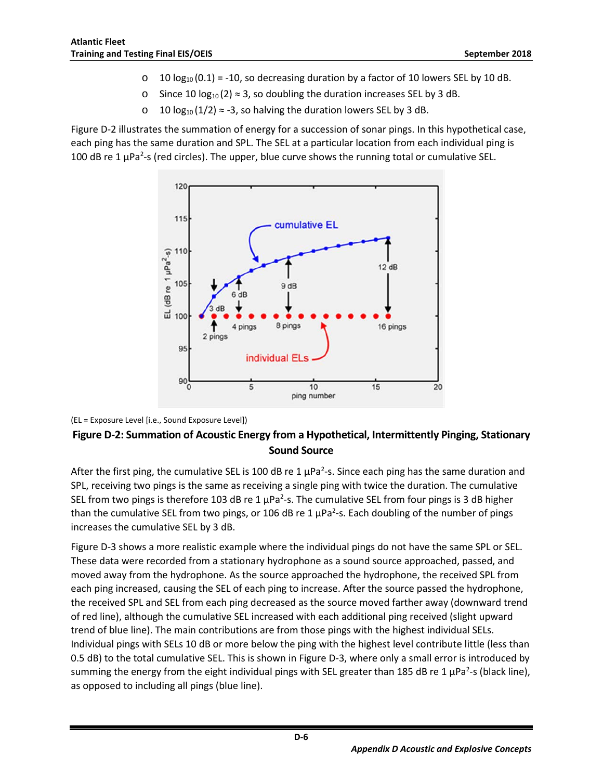- $\circ$  10 log<sub>10</sub> (0.1) = -10, so decreasing duration by a factor of 10 lowers SEL by 10 dB.
- o Since 10 log<sub>10</sub> (2) ≈ 3, so doubling the duration increases SEL by 3 dB.
- o 10  $log_{10} (1/2) \approx -3$ , so halving the duration lowers SEL by 3 dB.

Figure D-2 illustrates the summation of energy for a succession of sonar pings. In this hypothetical case, each ping has the same duration and SPL. The SEL at a particular location from each individual ping is 100 dB re 1  $\mu$ Pa<sup>2</sup>-s (red circles). The upper, blue curve shows the running total or cumulative SEL.





### <span id="page-9-0"></span>**Figure D-2: Summation of Acoustic Energy from a Hypothetical, Intermittently Pinging, Stationary Sound Source**

After the first ping, the cumulative SEL is 100 dB re 1  $\mu$ Pa<sup>2</sup>-s. Since each ping has the same duration and SPL, receiving two pings is the same as receiving a single ping with twice the duration. The cumulative SEL from two pings is therefore 103 dB re 1  $\mu$ Pa<sup>2</sup>-s. The cumulative SEL from four pings is 3 dB higher than the cumulative SEL from two pings, or 106 dB re 1  $\mu$ Pa<sup>2</sup>-s. Each doubling of the number of pings increases the cumulative SEL by 3 dB.

Figure D-3 shows a more realistic example where the individual pings do not have the same SPL or SEL. These data were recorded from a stationary hydrophone as a sound source approached, passed, and moved away from the hydrophone. As the source approached the hydrophone, the received SPL from each ping increased, causing the SEL of each ping to increase. After the source passed the hydrophone, the received SPL and SEL from each ping decreased as the source moved farther away (downward trend of red line), although the cumulative SEL increased with each additional ping received (slight upward trend of blue line). The main contributions are from those pings with the highest individual SELs. Individual pings with SELs 10 dB or more below the ping with the highest level contribute little (less than 0.5 dB) to the total cumulative SEL. This is shown in Figure D-3, where only a small error is introduced by summing the energy from the eight individual pings with SEL greater than 185 dB re 1  $\mu$ Pa<sup>2</sup>-s (black line), as opposed to including all pings (blue line).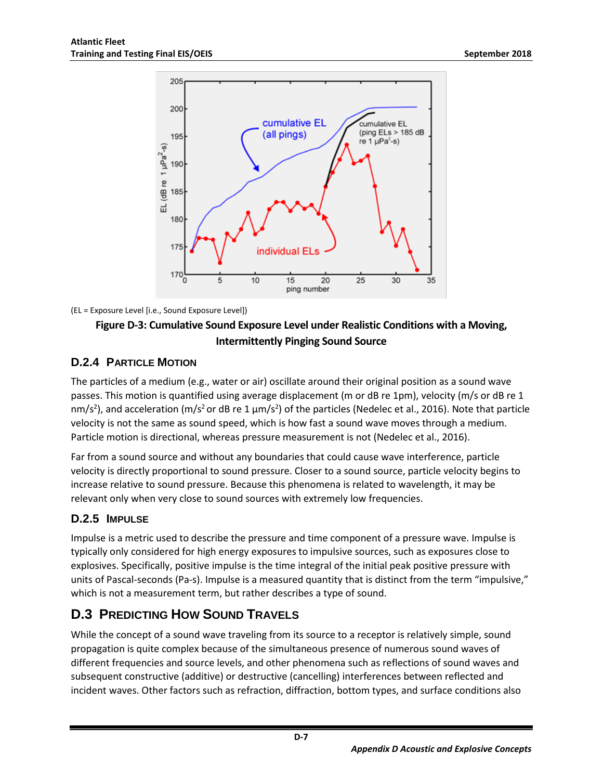

<span id="page-10-3"></span>

### **Figure D-3: Cumulative Sound Exposure Level under Realistic Conditions with a Moving, Intermittently Pinging Sound Source**

### <span id="page-10-0"></span>**D.2.4 PARTICLE MOTION**

The particles of a medium (e.g., water or air) oscillate around their original position as a sound wave passes. This motion is quantified using average displacement (m or dB re 1pm), velocity (m/s or dB re 1 nm/s<sup>2</sup>), and acceleration (m/s<sup>2</sup> or dB re 1  $\mu$ m/s<sup>2</sup>) of the particles (Nedelec et al., 2016). Note that particle velocity is not the same as sound speed, which is how fast a sound wave moves through a medium. Particle motion is directional, whereas pressure measurement is not (Nedelec et al., 2016).

Far from a sound source and without any boundaries that could cause wave interference, particle velocity is directly proportional to sound pressure. Closer to a sound source, particle velocity begins to increase relative to sound pressure. Because this phenomena is related to wavelength, it may be relevant only when very close to sound sources with extremely low frequencies.

### <span id="page-10-1"></span>**D.2.5 IMPULSE**

Impulse is a metric used to describe the pressure and time component of a pressure wave. Impulse is typically only considered for high energy exposures to impulsive sources, such as exposures close to explosives. Specifically, positive impulse is the time integral of the initial peak positive pressure with units of Pascal-seconds (Pa-s). Impulse is a measured quantity that is distinct from the term "impulsive," which is not a measurement term, but rather describes a type of sound.

# <span id="page-10-2"></span>**D.3 PREDICTING HOW SOUND TRAVELS**

While the concept of a sound wave traveling from its source to a receptor is relatively simple, sound propagation is quite complex because of the simultaneous presence of numerous sound waves of different frequencies and source levels, and other phenomena such as reflections of sound waves and subsequent constructive (additive) or destructive (cancelling) interferences between reflected and incident waves. Other factors such as refraction, diffraction, bottom types, and surface conditions also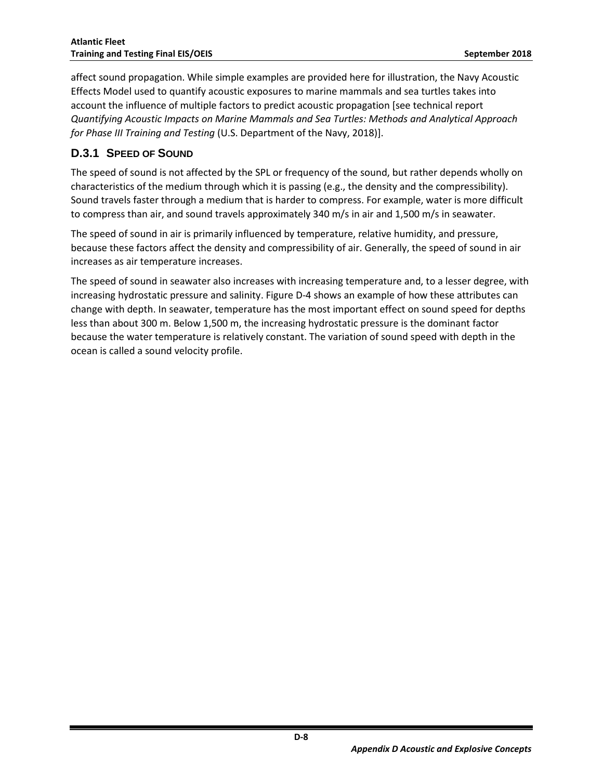affect sound propagation. While simple examples are provided here for illustration, the Navy Acoustic Effects Model used to quantify acoustic exposures to marine mammals and sea turtles takes into account the influence of multiple factors to predict acoustic propagation [see technical report *Quantifying Acoustic Impacts on Marine Mammals and Sea Turtles: Methods and Analytical Approach for Phase III Training and Testing* (U.S. Department of the Navy, 2018)].

### <span id="page-11-0"></span>**D.3.1 SPEED OF SOUND**

The speed of sound is not affected by the SPL or frequency of the sound, but rather depends wholly on characteristics of the medium through which it is passing (e.g., the density and the compressibility). Sound travels faster through a medium that is harder to compress. For example, water is more difficult to compress than air, and sound travels approximately 340 m/s in air and 1,500 m/s in seawater.

The speed of sound in air is primarily influenced by temperature, relative humidity, and pressure, because these factors affect the density and compressibility of air. Generally, the speed of sound in air increases as air temperature increases.

The speed of sound in seawater also increases with increasing temperature and, to a lesser degree, with increasing hydrostatic pressure and salinity. Figure D-4 shows an example of how these attributes can change with depth. In seawater, temperature has the most important effect on sound speed for depths less than about 300 m. Below 1,500 m, the increasing hydrostatic pressure is the dominant factor because the water temperature is relatively constant. The variation of sound speed with depth in the ocean is called a sound velocity profile.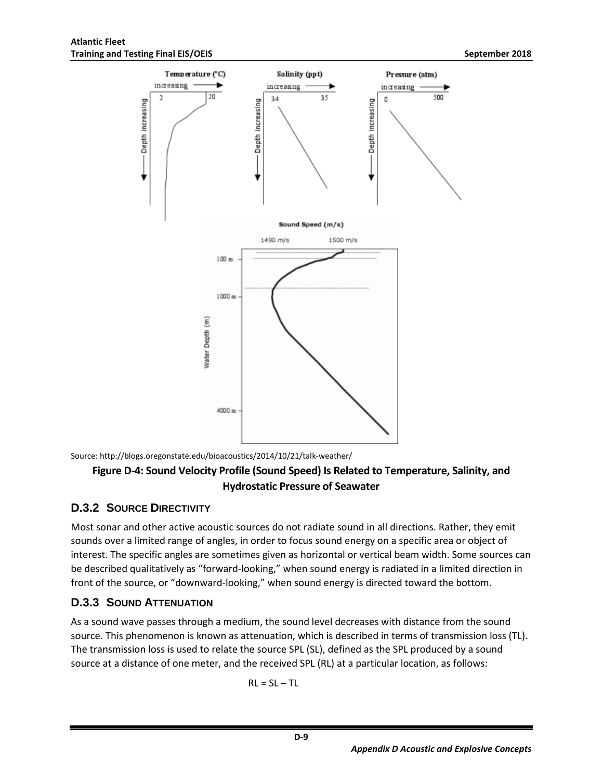

<span id="page-12-2"></span>Source: http://blogs.oregonstate.edu/bioacoustics/2014/10/21/talk-weather/

### **Figure D-4: Sound Velocity Profile (Sound Speed) Is Related to Temperature, Salinity, and Hydrostatic Pressure of Seawater**

### <span id="page-12-0"></span>**D.3.2 SOURCE DIRECTIVITY**

Most sonar and other active acoustic sources do not radiate sound in all directions. Rather, they emit sounds over a limited range of angles, in order to focus sound energy on a specific area or object of interest. The specific angles are sometimes given as horizontal or vertical beam width. Some sources can be described qualitatively as "forward-looking," when sound energy is radiated in a limited direction in front of the source, or "downward-looking," when sound energy is directed toward the bottom.

### <span id="page-12-1"></span>**D.3.3 SOUND ATTENUATION**

As a sound wave passes through a medium, the sound level decreases with distance from the sound source. This phenomenon is known as attenuation, which is described in terms of transmission loss (TL). The transmission loss is used to relate the source SPL (SL), defined as the SPL produced by a sound source at a distance of one meter, and the received SPL (RL) at a particular location, as follows:

 $RL = SL - TL$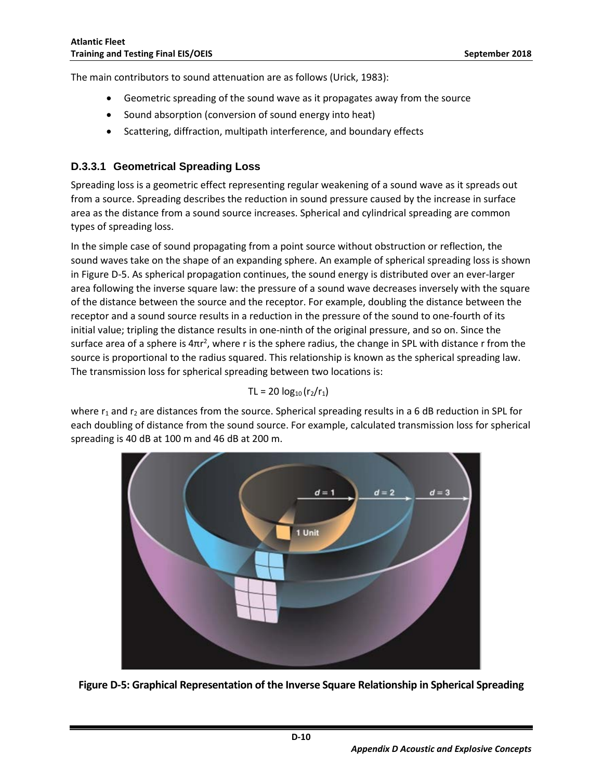The main contributors to sound attenuation are as follows (Urick, 1983):

- Geometric spreading of the sound wave as it propagates away from the source
- Sound absorption (conversion of sound energy into heat)
- Scattering, diffraction, multipath interference, and boundary effects

#### <span id="page-13-0"></span>**D.3.3.1 Geometrical Spreading Loss**

Spreading loss is a geometric effect representing regular weakening of a sound wave as it spreads out from a source. Spreading describes the reduction in sound pressure caused by the increase in surface area as the distance from a sound source increases. Spherical and cylindrical spreading are common types of spreading loss.

In the simple case of sound propagating from a point source without obstruction or reflection, the sound waves take on the shape of an expanding sphere. An example of spherical spreading loss is shown in Figure D-5. As spherical propagation continues, the sound energy is distributed over an ever-larger area following the inverse square law: the pressure of a sound wave decreases inversely with the square of the distance between the source and the receptor. For example, doubling the distance between the receptor and a sound source results in a reduction in the pressure of the sound to one-fourth of its initial value; tripling the distance results in one-ninth of the original pressure, and so on. Since the surface area of a sphere is 4πr<sup>2</sup>, where r is the sphere radius, the change in SPL with distance r from the source is proportional to the radius squared. This relationship is known as the spherical spreading law. The transmission loss for spherical spreading between two locations is:

#### $TL = 20 log_{10}(r_2/r_1)$

where  $r_1$  and  $r_2$  are distances from the source. Spherical spreading results in a 6 dB reduction in SPL for each doubling of distance from the sound source. For example, calculated transmission loss for spherical spreading is 40 dB at 100 m and 46 dB at 200 m.



<span id="page-13-1"></span>**Figure D-5: Graphical Representation of the Inverse Square Relationship in Spherical Spreading**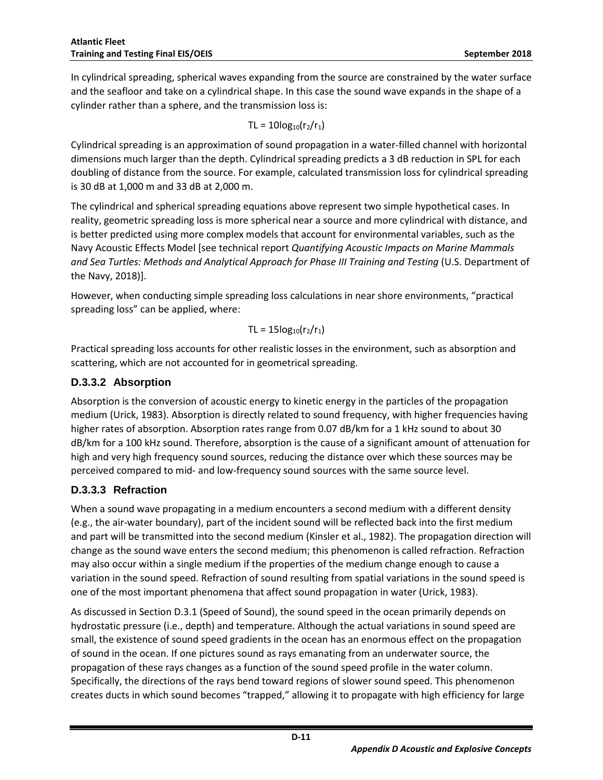In cylindrical spreading, spherical waves expanding from the source are constrained by the water surface and the seafloor and take on a cylindrical shape. In this case the sound wave expands in the shape of a cylinder rather than a sphere, and the transmission loss is:

$$
TL = 10\log_{10}(r_2/r_1)
$$

Cylindrical spreading is an approximation of sound propagation in a water-filled channel with horizontal dimensions much larger than the depth. Cylindrical spreading predicts a 3 dB reduction in SPL for each doubling of distance from the source. For example, calculated transmission loss for cylindrical spreading is 30 dB at 1,000 m and 33 dB at 2,000 m.

The cylindrical and spherical spreading equations above represent two simple hypothetical cases. In reality, geometric spreading loss is more spherical near a source and more cylindrical with distance, and is better predicted using more complex models that account for environmental variables, such as the Navy Acoustic Effects Model [see technical report *Quantifying Acoustic Impacts on Marine Mammals and Sea Turtles: Methods and Analytical Approach for Phase III Training and Testing* (U.S. Department of the Navy, 2018)].

However, when conducting simple spreading loss calculations in near shore environments, "practical spreading loss" can be applied, where:

$$
TL = 15log_{10}(r_2/r_1)
$$

Practical spreading loss accounts for other realistic losses in the environment, such as absorption and scattering, which are not accounted for in geometrical spreading.

#### <span id="page-14-0"></span>**D.3.3.2 Absorption**

Absorption is the conversion of acoustic energy to kinetic energy in the particles of the propagation medium (Urick, 1983). Absorption is directly related to sound frequency, with higher frequencies having higher rates of absorption. Absorption rates range from 0.07 dB/km for a 1 kHz sound to about 30 dB/km for a 100 kHz sound. Therefore, absorption is the cause of a significant amount of attenuation for high and very high frequency sound sources, reducing the distance over which these sources may be perceived compared to mid- and low-frequency sound sources with the same source level.

#### <span id="page-14-1"></span>**D.3.3.3 Refraction**

When a sound wave propagating in a medium encounters a second medium with a different density (e.g., the air-water boundary), part of the incident sound will be reflected back into the first medium and part will be transmitted into the second medium (Kinsler et al., 1982). The propagation direction will change as the sound wave enters the second medium; this phenomenon is called refraction. Refraction may also occur within a single medium if the properties of the medium change enough to cause a variation in the sound speed. Refraction of sound resulting from spatial variations in the sound speed is one of the most important phenomena that affect sound propagation in water (Urick, 1983).

As discussed in Section [D.3.1](#page-11-0) [\(Speed of Sound\)](#page-11-0), the sound speed in the ocean primarily depends on hydrostatic pressure (i.e., depth) and temperature. Although the actual variations in sound speed are small, the existence of sound speed gradients in the ocean has an enormous effect on the propagation of sound in the ocean. If one pictures sound as rays emanating from an underwater source, the propagation of these rays changes as a function of the sound speed profile in the water column. Specifically, the directions of the rays bend toward regions of slower sound speed. This phenomenon creates ducts in which sound becomes "trapped," allowing it to propagate with high efficiency for large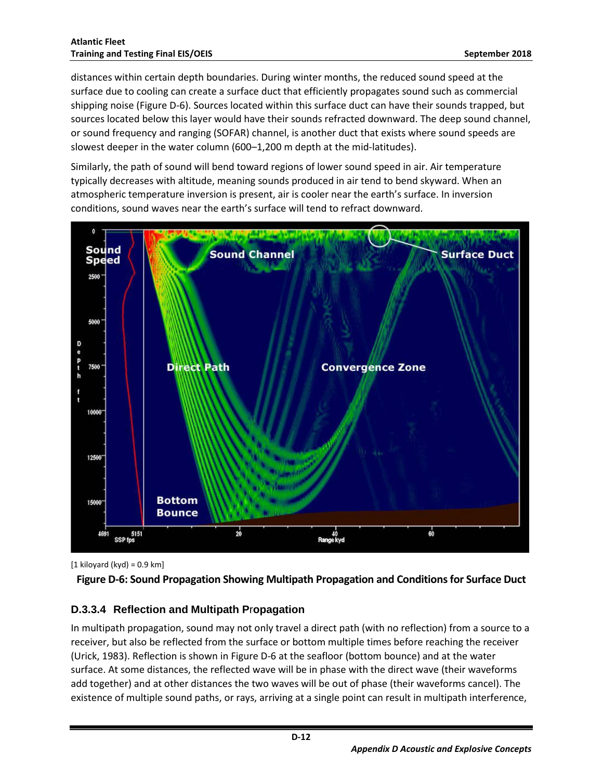distances within certain depth boundaries. During winter months, the reduced sound speed at the surface due to cooling can create a surface duct that efficiently propagates sound such as commercial shipping noise (Figure D-6). Sources located within this surface duct can have their sounds trapped, but sources located below this layer would have their sounds refracted downward. The deep sound channel, or sound frequency and ranging (SOFAR) channel, is another duct that exists where sound speeds are slowest deeper in the water column (600–1,200 m depth at the mid-latitudes).

Similarly, the path of sound will bend toward regions of lower sound speed in air. Air temperature typically decreases with altitude, meaning sounds produced in air tend to bend skyward. When an atmospheric temperature inversion is present, air is cooler near the earth's surface. In inversion conditions, sound waves near the earth's surface will tend to refract downward.



 $[1$  kiloyard (kyd) = 0.9 km]

<span id="page-15-1"></span>**Figure D-6: Sound Propagation Showing Multipath Propagation and Conditions for Surface Duct** 

### <span id="page-15-0"></span>**D.3.3.4 Reflection and Multipath P**r**opagation**

In multipath propagation, sound may not only travel a direct path (with no reflection) from a source to a receiver, but also be reflected from the surface or bottom multiple times before reaching the receiver (Urick, 1983). Reflection is shown in Figure D-6 at the seafloor (bottom bounce) and at the water surface. At some distances, the reflected wave will be in phase with the direct wave (their waveforms add together) and at other distances the two waves will be out of phase (their waveforms cancel). The existence of multiple sound paths, or rays, arriving at a single point can result in multipath interference,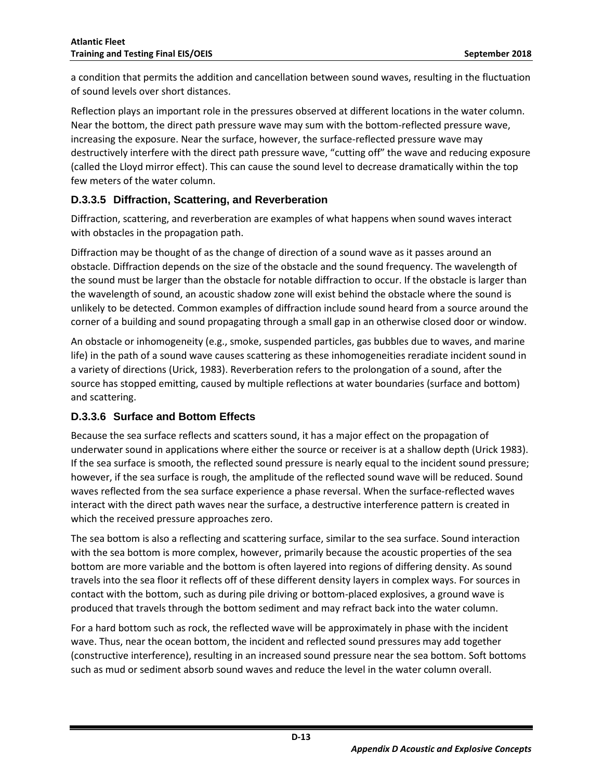a condition that permits the addition and cancellation between sound waves, resulting in the fluctuation of sound levels over short distances.

Reflection plays an important role in the pressures observed at different locations in the water column. Near the bottom, the direct path pressure wave may sum with the bottom-reflected pressure wave, increasing the exposure. Near the surface, however, the surface-reflected pressure wave may destructively interfere with the direct path pressure wave, "cutting off" the wave and reducing exposure (called the Lloyd mirror effect). This can cause the sound level to decrease dramatically within the top few meters of the water column.

### <span id="page-16-0"></span>**D.3.3.5 Diffraction, Scattering, and Reverberation**

Diffraction, scattering, and reverberation are examples of what happens when sound waves interact with obstacles in the propagation path.

Diffraction may be thought of as the change of direction of a sound wave as it passes around an obstacle. Diffraction depends on the size of the obstacle and the sound frequency. The wavelength of the sound must be larger than the obstacle for notable diffraction to occur. If the obstacle is larger than the wavelength of sound, an acoustic shadow zone will exist behind the obstacle where the sound is unlikely to be detected. Common examples of diffraction include sound heard from a source around the corner of a building and sound propagating through a small gap in an otherwise closed door or window.

An obstacle or inhomogeneity (e.g., smoke, suspended particles, gas bubbles due to waves, and marine life) in the path of a sound wave causes scattering as these inhomogeneities reradiate incident sound in a variety of directions (Urick, 1983). Reverberation refers to the prolongation of a sound, after the source has stopped emitting, caused by multiple reflections at water boundaries (surface and bottom) and scattering.

### <span id="page-16-1"></span>**D.3.3.6 Surface and Bottom Effects**

Because the sea surface reflects and scatters sound, it has a major effect on the propagation of underwater sound in applications where either the source or receiver is at a shallow depth (Urick 1983). If the sea surface is smooth, the reflected sound pressure is nearly equal to the incident sound pressure; however, if the sea surface is rough, the amplitude of the reflected sound wave will be reduced. Sound waves reflected from the sea surface experience a phase reversal. When the surface-reflected waves interact with the direct path waves near the surface, a destructive interference pattern is created in which the received pressure approaches zero.

The sea bottom is also a reflecting and scattering surface, similar to the sea surface. Sound interaction with the sea bottom is more complex, however, primarily because the acoustic properties of the sea bottom are more variable and the bottom is often layered into regions of differing density. As sound travels into the sea floor it reflects off of these different density layers in complex ways. For sources in contact with the bottom, such as during pile driving or bottom-placed explosives, a ground wave is produced that travels through the bottom sediment and may refract back into the water column.

For a hard bottom such as rock, the reflected wave will be approximately in phase with the incident wave. Thus, near the ocean bottom, the incident and reflected sound pressures may add together (constructive interference), resulting in an increased sound pressure near the sea bottom. Soft bottoms such as mud or sediment absorb sound waves and reduce the level in the water column overall.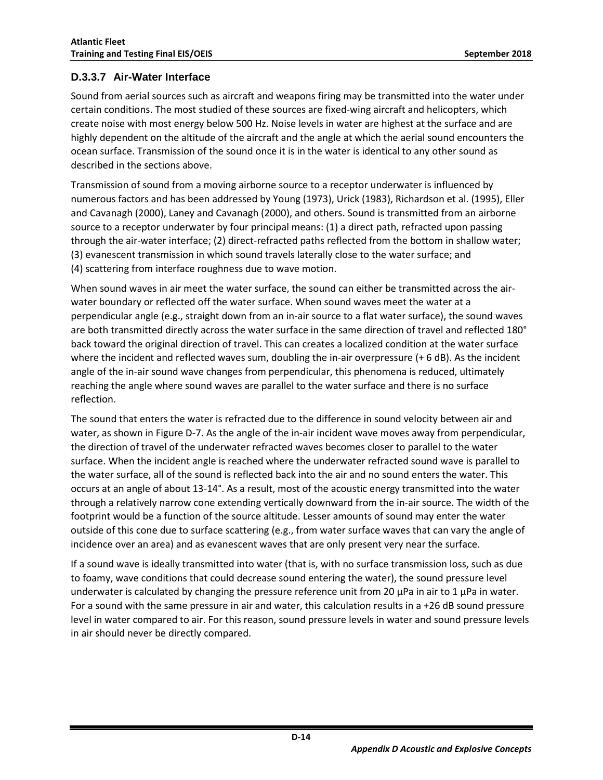#### <span id="page-17-0"></span>**D.3.3.7 Air-Water Interface**

Sound from aerial sources such as aircraft and weapons firing may be transmitted into the water under certain conditions. The most studied of these sources are fixed-wing aircraft and helicopters, which create noise with most energy below 500 Hz. Noise levels in water are highest at the surface and are highly dependent on the altitude of the aircraft and the angle at which the aerial sound encounters the ocean surface. Transmission of the sound once it is in the water is identical to any other sound as described in the sections above.

Transmission of sound from a moving airborne source to a receptor underwater is influenced by numerous factors and has been addressed by Young (1973), Urick (1983), Richardson et al. (1995), Eller and Cavanagh (2000), Laney and Cavanagh (2000), and others. Sound is transmitted from an airborne source to a receptor underwater by four principal means: (1) a direct path, refracted upon passing through the air-water interface; (2) direct-refracted paths reflected from the bottom in shallow water; (3) evanescent transmission in which sound travels laterally close to the water surface; and (4) scattering from interface roughness due to wave motion.

When sound waves in air meet the water surface, the sound can either be transmitted across the airwater boundary or reflected off the water surface. When sound waves meet the water at a perpendicular angle (e.g., straight down from an in-air source to a flat water surface), the sound waves are both transmitted directly across the water surface in the same direction of travel and reflected 180° back toward the original direction of travel. This can creates a localized condition at the water surface where the incident and reflected waves sum, doubling the in-air overpressure (+ 6 dB). As the incident angle of the in-air sound wave changes from perpendicular, this phenomena is reduced, ultimately reaching the angle where sound waves are parallel to the water surface and there is no surface reflection.

The sound that enters the water is refracted due to the difference in sound velocity between air and water, as shown in Figure D-7. As the angle of the in-air incident wave moves away from perpendicular, the direction of travel of the underwater refracted waves becomes closer to parallel to the water surface. When the incident angle is reached where the underwater refracted sound wave is parallel to the water surface, all of the sound is reflected back into the air and no sound enters the water. This occurs at an angle of about 13-14°. As a result, most of the acoustic energy transmitted into the water through a relatively narrow cone extending vertically downward from the in-air source. The width of the footprint would be a function of the source altitude. Lesser amounts of sound may enter the water outside of this cone due to surface scattering (e.g., from water surface waves that can vary the angle of incidence over an area) and as evanescent waves that are only present very near the surface.

If a sound wave is ideally transmitted into water (that is, with no surface transmission loss, such as due to foamy, wave conditions that could decrease sound entering the water), the sound pressure level underwater is calculated by changing the pressure reference unit from 20  $\mu$ Pa in air to 1  $\mu$ Pa in water. For a sound with the same pressure in air and water, this calculation results in a +26 dB sound pressure level in water compared to air. For this reason, sound pressure levels in water and sound pressure levels in air should never be directly compared.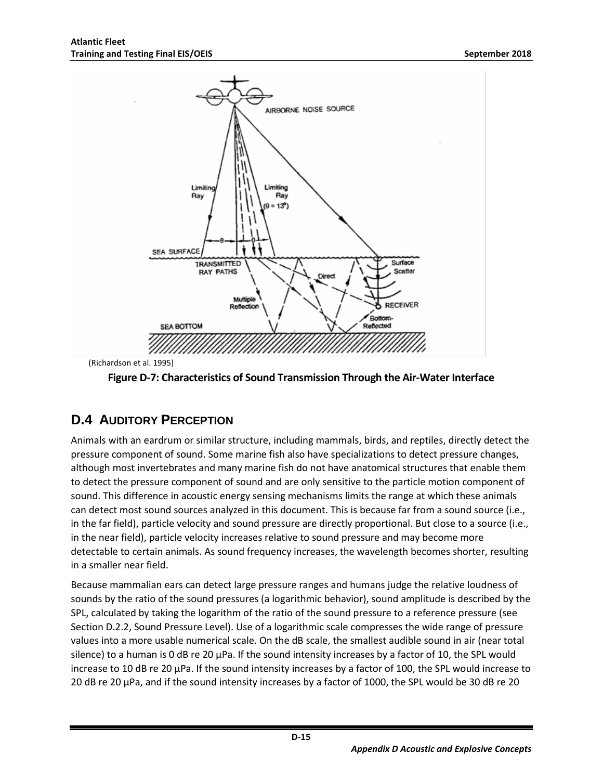

<span id="page-18-1"></span>(Richardson et al. 1995)

**Figure D-7: Characteristics of Sound Transmission Through the Air-Water Interface**

# <span id="page-18-0"></span>**D.4 AUDITORY PERCEPTION**

Animals with an eardrum or similar structure, including mammals, birds, and reptiles, directly detect the pressure component of sound. Some marine fish also have specializations to detect pressure changes, although most invertebrates and many marine fish do not have anatomical structures that enable them to detect the pressure component of sound and are only sensitive to the particle motion component of sound. This difference in acoustic energy sensing mechanisms limits the range at which these animals can detect most sound sources analyzed in this document. This is because far from a sound source (i.e., in the far field), particle velocity and sound pressure are directly proportional. But close to a source (i.e., in the near field), particle velocity increases relative to sound pressure and may become more detectable to certain animals. As sound frequency increases, the wavelength becomes shorter, resulting in a smaller near field.

Because mammalian ears can detect large pressure ranges and humans judge the relative loudness of sounds by the ratio of the sound pressures (a logarithmic behavior), sound amplitude is described by the SPL, calculated by taking the logarithm of the ratio of the sound pressure to a reference pressure (see Sectio[n D.2.2,](#page-7-2) Sound Pressure Level). Use of a logarithmic scale compresses the wide range of pressure values into a more usable numerical scale. On the dB scale, the smallest audible sound in air (near total silence) to a human is 0 dB re 20  $\mu$ Pa. If the sound intensity increases by a factor of 10, the SPL would increase to 10 dB re 20 µPa. If the sound intensity increases by a factor of 100, the SPL would increase to 20 dB re 20 µPa, and if the sound intensity increases by a factor of 1000, the SPL would be 30 dB re 20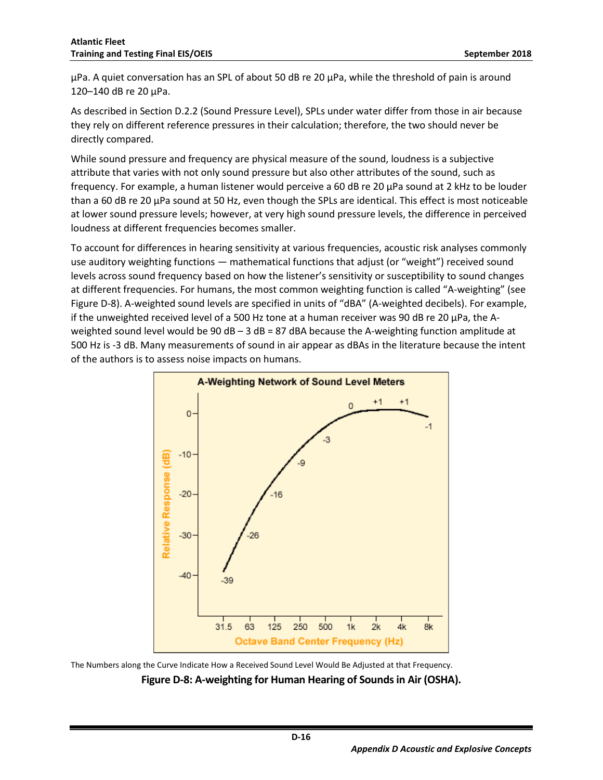µPa. A quiet conversation has an SPL of about 50 dB re 20 µPa, while the threshold of pain is around 120–140 dB re 20 µPa.

As described in Sectio[n D.2.2](#page-7-2) (Sound Pressure Level), SPLs under water differ from those in air because they rely on different reference pressures in their calculation; therefore, the two should never be directly compared.

While sound pressure and frequency are physical measure of the sound, loudness is a subjective attribute that varies with not only sound pressure but also other attributes of the sound, such as frequency. For example, a human listener would perceive a 60 dB re 20 µPa sound at 2 kHz to be louder than a 60 dB re 20  $\mu$ Pa sound at 50 Hz, even though the SPLs are identical. This effect is most noticeable at lower sound pressure levels; however, at very high sound pressure levels, the difference in perceived loudness at different frequencies becomes smaller.

To account for differences in hearing sensitivity at various frequencies, acoustic risk analyses commonly use auditory weighting functions — mathematical functions that adjust (or "weight") received sound levels across sound frequency based on how the listener's sensitivity or susceptibility to sound changes at different frequencies. For humans, the most common weighting function is called "A-weighting" (see Figure D-8). A-weighted sound levels are specified in units of "dBA" (A-weighted decibels). For example, if the unweighted received level of a 500 Hz tone at a human receiver was 90 dB re 20  $\mu$ Pa, the Aweighted sound level would be 90 dB - 3 dB = 87 dBA because the A-weighting function amplitude at 500 Hz is -3 dB. Many measurements of sound in air appear as dBAs in the literature because the intent of the authors is to assess noise impacts on humans.



<span id="page-19-0"></span>The Numbers along the Curve Indicate How a Received Sound Level Would Be Adjusted at that Frequency.

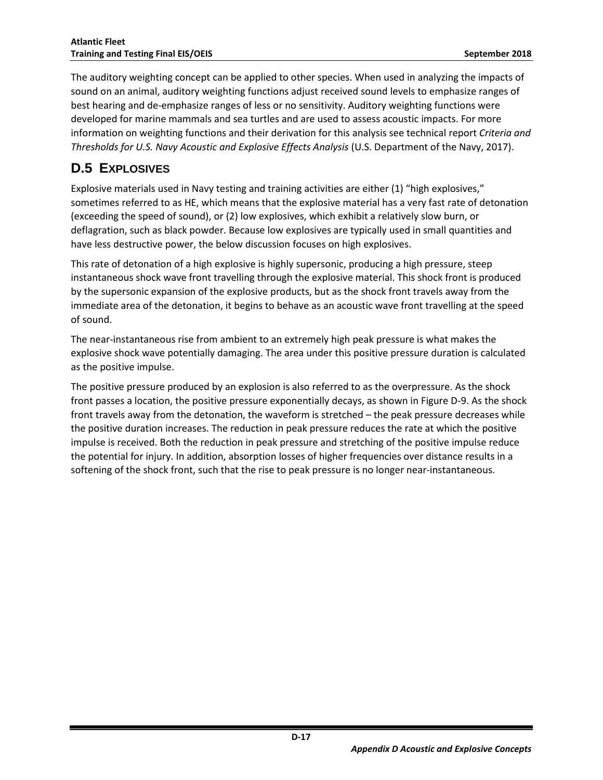The auditory weighting concept can be applied to other species. When used in analyzing the impacts of sound on an animal, auditory weighting functions adjust received sound levels to emphasize ranges of best hearing and de-emphasize ranges of less or no sensitivity. Auditory weighting functions were developed for marine mammals and sea turtles and are used to assess acoustic impacts. For more information on weighting functions and their derivation for this analysis see technical report *Criteria and Thresholds for U.S. Navy Acoustic and Explosive Effects Analysis* (U.S. Department of the Navy, 2017).

# <span id="page-20-0"></span>**D.5 EXPLOSIVES**

Explosive materials used in Navy testing and training activities are either (1) "high explosives," sometimes referred to as HE, which means that the explosive material has a very fast rate of detonation (exceeding the speed of sound), or (2) low explosives, which exhibit a relatively slow burn, or deflagration, such as black powder. Because low explosives are typically used in small quantities and have less destructive power, the below discussion focuses on high explosives.

This rate of detonation of a high explosive is highly supersonic, producing a high pressure, steep instantaneous shock wave front travelling through the explosive material. This shock front is produced by the supersonic expansion of the explosive products, but as the shock front travels away from the immediate area of the detonation, it begins to behave as an acoustic wave front travelling at the speed of sound.

The near-instantaneous rise from ambient to an extremely high peak pressure is what makes the explosive shock wave potentially damaging. The area under this positive pressure duration is calculated as the positive impulse.

The positive pressure produced by an explosion is also referred to as the overpressure. As the shock front passes a location, the positive pressure exponentially decays, as shown in Figure D-9. As the shock front travels away from the detonation, the waveform is stretched – the peak pressure decreases while the positive duration increases. The reduction in peak pressure reduces the rate at which the positive impulse is received. Both the reduction in peak pressure and stretching of the positive impulse reduce the potential for injury. In addition, absorption losses of higher frequencies over distance results in a softening of the shock front, such that the rise to peak pressure is no longer near-instantaneous.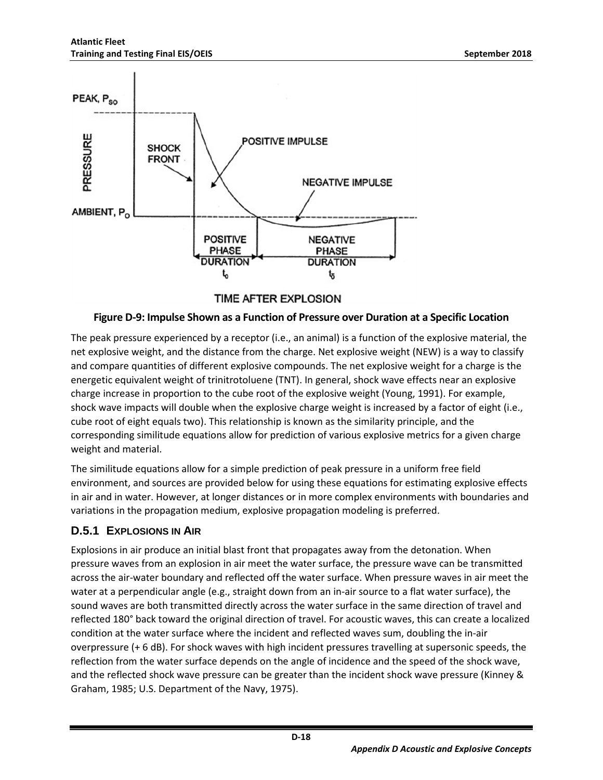



<span id="page-21-1"></span>The peak pressure experienced by a receptor (i.e., an animal) is a function of the explosive material, the net explosive weight, and the distance from the charge. Net explosive weight (NEW) is a way to classify and compare quantities of different explosive compounds. The net explosive weight for a charge is the energetic equivalent weight of trinitrotoluene (TNT). In general, shock wave effects near an explosive charge increase in proportion to the cube root of the explosive weight (Young, 1991). For example, shock wave impacts will double when the explosive charge weight is increased by a factor of eight (i.e., cube root of eight equals two). This relationship is known as the similarity principle, and the corresponding similitude equations allow for prediction of various explosive metrics for a given charge weight and material.

The similitude equations allow for a simple prediction of peak pressure in a uniform free field environment, and sources are provided below for using these equations for estimating explosive effects in air and in water. However, at longer distances or in more complex environments with boundaries and variations in the propagation medium, explosive propagation modeling is preferred.

### <span id="page-21-0"></span>**D.5.1 EXPLOSIONS IN AIR**

Explosions in air produce an initial blast front that propagates away from the detonation. When pressure waves from an explosion in air meet the water surface, the pressure wave can be transmitted across the air-water boundary and reflected off the water surface. When pressure waves in air meet the water at a perpendicular angle (e.g., straight down from an in-air source to a flat water surface), the sound waves are both transmitted directly across the water surface in the same direction of travel and reflected 180° back toward the original direction of travel. For acoustic waves, this can create a localized condition at the water surface where the incident and reflected waves sum, doubling the in-air overpressure (+ 6 dB). For shock waves with high incident pressures travelling at supersonic speeds, the reflection from the water surface depends on the angle of incidence and the speed of the shock wave, and the reflected shock wave pressure can be greater than the incident shock wave pressure (Kinney & Graham, 1985; U.S. Department of the Navy, 1975).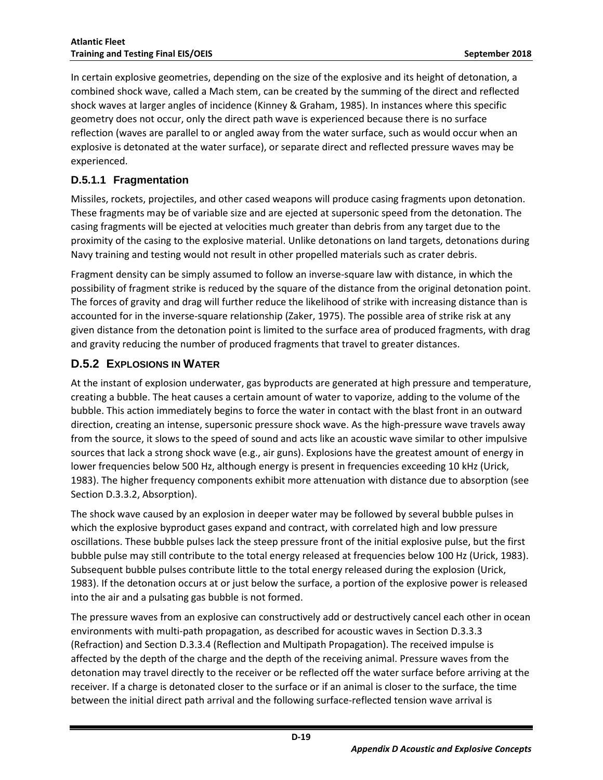In certain explosive geometries, depending on the size of the explosive and its height of detonation, a combined shock wave, called a Mach stem, can be created by the summing of the direct and reflected shock waves at larger angles of incidence (Kinney & Graham, 1985). In instances where this specific geometry does not occur, only the direct path wave is experienced because there is no surface reflection (waves are parallel to or angled away from the water surface, such as would occur when an explosive is detonated at the water surface), or separate direct and reflected pressure waves may be experienced.

#### <span id="page-22-0"></span>**D.5.1.1 Fragmentation**

Missiles, rockets, projectiles, and other cased weapons will produce casing fragments upon detonation. These fragments may be of variable size and are ejected at supersonic speed from the detonation. The casing fragments will be ejected at velocities much greater than debris from any target due to the proximity of the casing to the explosive material. Unlike detonations on land targets, detonations during Navy training and testing would not result in other propelled materials such as crater debris.

Fragment density can be simply assumed to follow an inverse-square law with distance, in which the possibility of fragment strike is reduced by the square of the distance from the original detonation point. The forces of gravity and drag will further reduce the likelihood of strike with increasing distance than is accounted for in the inverse-square relationship (Zaker, 1975). The possible area of strike risk at any given distance from the detonation point is limited to the surface area of produced fragments, with drag and gravity reducing the number of produced fragments that travel to greater distances.

### <span id="page-22-1"></span>**D.5.2 EXPLOSIONS IN WATER**

At the instant of explosion underwater, gas byproducts are generated at high pressure and temperature, creating a bubble. The heat causes a certain amount of water to vaporize, adding to the volume of the bubble. This action immediately begins to force the water in contact with the blast front in an outward direction, creating an intense, supersonic pressure shock wave. As the high-pressure wave travels away from the source, it slows to the speed of sound and acts like an acoustic wave similar to other impulsive sources that lack a strong shock wave (e.g., air guns). Explosions have the greatest amount of energy in lower frequencies below 500 Hz, although energy is present in frequencies exceeding 10 kHz (Urick, 1983). The higher frequency components exhibit more attenuation with distance due to absorption (see Sectio[n D.3.3.2,](#page-14-0) Absorption).

The shock wave caused by an explosion in deeper water may be followed by several bubble pulses in which the explosive byproduct gases expand and contract, with correlated high and low pressure oscillations. These bubble pulses lack the steep pressure front of the initial explosive pulse, but the first bubble pulse may still contribute to the total energy released at frequencies below 100 Hz (Urick, 1983). Subsequent bubble pulses contribute little to the total energy released during the explosion (Urick, 1983). If the detonation occurs at or just below the surface, a portion of the explosive power is released into the air and a pulsating gas bubble is not formed.

The pressure waves from an explosive can constructively add or destructively cancel each other in ocean environments with multi-path propagation, as described for acoustic waves in Section [D.3.3.3](#page-14-1) (Refraction) and Section [D.3.3.4](#page-15-0) (Reflection and Multipath Propagation). The received impulse is affected by the depth of the charge and the depth of the receiving animal. Pressure waves from the detonation may travel directly to the receiver or be reflected off the water surface before arriving at the receiver. If a charge is detonated closer to the surface or if an animal is closer to the surface, the time between the initial direct path arrival and the following surface-reflected tension wave arrival is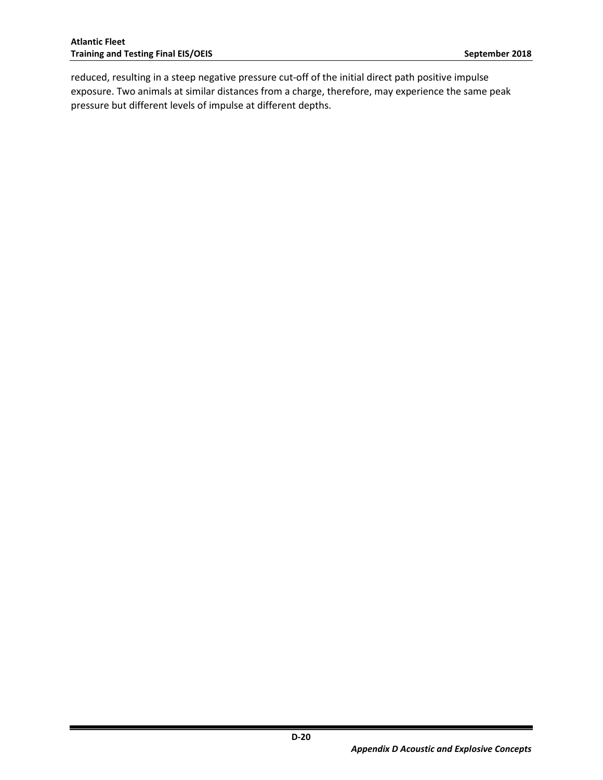reduced, resulting in a steep negative pressure cut-off of the initial direct path positive impulse exposure. Two animals at similar distances from a charge, therefore, may experience the same peak pressure but different levels of impulse at different depths.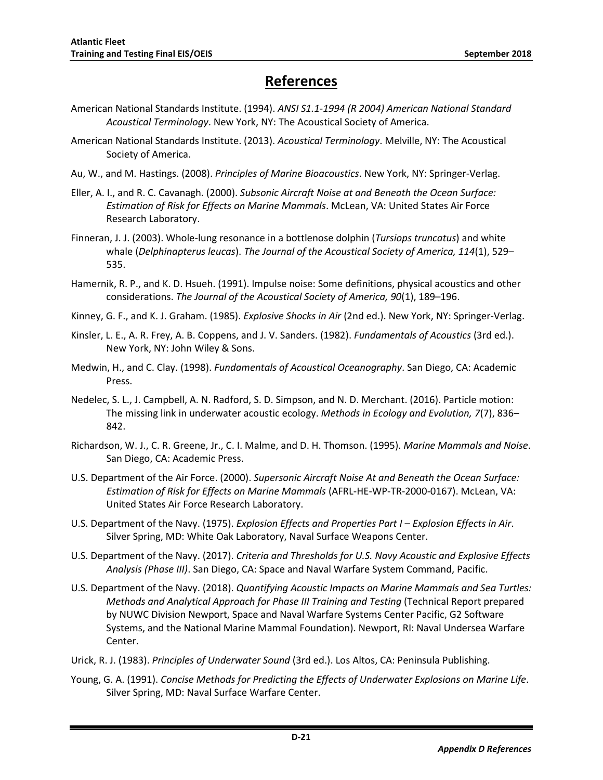# **References**

- American National Standards Institute. (1994). *ANSI S1.1-1994 (R 2004) American National Standard Acoustical Terminology*. New York, NY: The Acoustical Society of America.
- American National Standards Institute. (2013). *Acoustical Terminology*. Melville, NY: The Acoustical Society of America.
- Au, W., and M. Hastings. (2008). *Principles of Marine Bioacoustics*. New York, NY: Springer-Verlag.
- Eller, A. I., and R. C. Cavanagh. (2000). *Subsonic Aircraft Noise at and Beneath the Ocean Surface: Estimation of Risk for Effects on Marine Mammals*. McLean, VA: United States Air Force Research Laboratory.
- Finneran, J. J. (2003). Whole-lung resonance in a bottlenose dolphin (*Tursiops truncatus*) and white whale (*Delphinapterus leucas*). *The Journal of the Acoustical Society of America, 114*(1), 529– 535.
- Hamernik, R. P., and K. D. Hsueh. (1991). Impulse noise: Some definitions, physical acoustics and other considerations. *The Journal of the Acoustical Society of America, 90*(1), 189–196.
- Kinney, G. F., and K. J. Graham. (1985). *Explosive Shocks in Air* (2nd ed.). New York, NY: Springer-Verlag.
- Kinsler, L. E., A. R. Frey, A. B. Coppens, and J. V. Sanders. (1982). *Fundamentals of Acoustics* (3rd ed.). New York, NY: John Wiley & Sons.
- Medwin, H., and C. Clay. (1998). *Fundamentals of Acoustical Oceanography*. San Diego, CA: Academic Press.
- Nedelec, S. L., J. Campbell, A. N. Radford, S. D. Simpson, and N. D. Merchant. (2016). Particle motion: The missing link in underwater acoustic ecology. *Methods in Ecology and Evolution, 7*(7), 836– 842.
- Richardson, W. J., C. R. Greene, Jr., C. I. Malme, and D. H. Thomson. (1995). *Marine Mammals and Noise*. San Diego, CA: Academic Press.
- U.S. Department of the Air Force. (2000). *Supersonic Aircraft Noise At and Beneath the Ocean Surface: Estimation of Risk for Effects on Marine Mammals* (AFRL-HE-WP-TR-2000-0167). McLean, VA: United States Air Force Research Laboratory.
- U.S. Department of the Navy. (1975). *Explosion Effects and Properties Part I – Explosion Effects in Air*. Silver Spring, MD: White Oak Laboratory, Naval Surface Weapons Center.
- U.S. Department of the Navy. (2017). *Criteria and Thresholds for U.S. Navy Acoustic and Explosive Effects Analysis (Phase III)*. San Diego, CA: Space and Naval Warfare System Command, Pacific.
- U.S. Department of the Navy. (2018). *Quantifying Acoustic Impacts on Marine Mammals and Sea Turtles: Methods and Analytical Approach for Phase III Training and Testing* (Technical Report prepared by NUWC Division Newport, Space and Naval Warfare Systems Center Pacific, G2 Software Systems, and the National Marine Mammal Foundation). Newport, RI: Naval Undersea Warfare Center.
- Urick, R. J. (1983). *Principles of Underwater Sound* (3rd ed.). Los Altos, CA: Peninsula Publishing.
- Young, G. A. (1991). *Concise Methods for Predicting the Effects of Underwater Explosions on Marine Life*. Silver Spring, MD: Naval Surface Warfare Center.